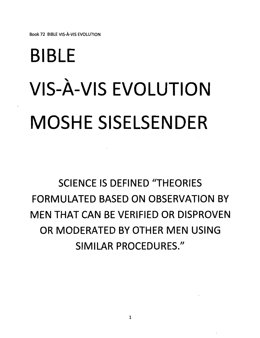#### *BIBLE VIS-A-VIS EVOLUTION MOSHESISELSENDER*

#### *SCIENCE IS DEFINED "THEORIES FORMULATED BASED ON OBSERVATION BY MEN THAT CAN BE VERIFIED OR DISPROVEN OR MODERATED BY OTHER MEN USING SIMILAR PROCEDURES."*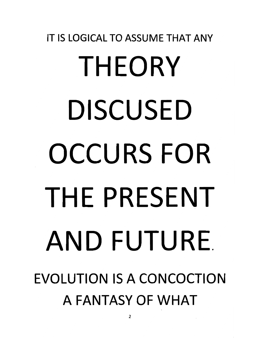#### *IT IS LOGICAL TO ASSUME THAT ANY THEORY DISCUSED OCCURS FOR THE PRESENT AND FUTURE EVOLUTION IS A CONCOCTION A FANTASY OF WHAT*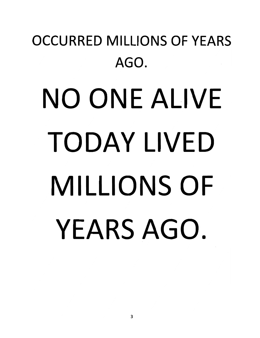#### *OCCURRED MILLIONS OF YEARS AGO. NO ONE ALIVE TODAY LIVED*

# *MILLIONS OF YEARS AGO.*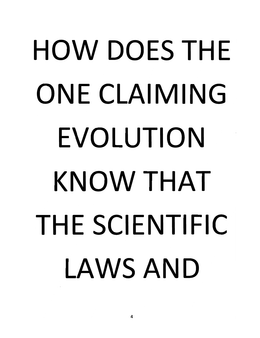#### *HOW DOES THE ONE CLAIMING EVOLUTION KNOW THAT THE SCIENTIFIC LAWS AND*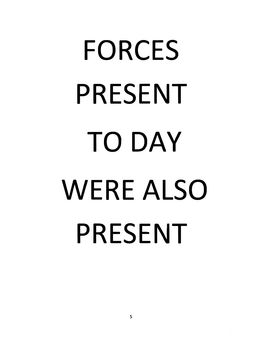## *FORCES PRESENT TODAY WERE ALSO PRESENT*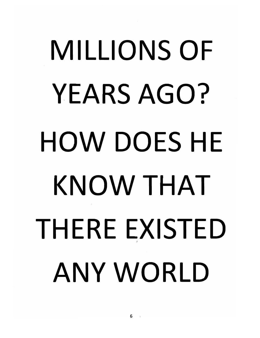## *MILLIONS OF YEARS AGO? HOW DOES HE KNOW THAT THERE EXISTED <sup>i</sup> ANY WORLD*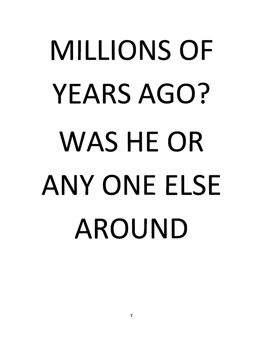## *MILLIONS OF YEARS AGO? WAS HE OR ANY ONE ELSE AROUND*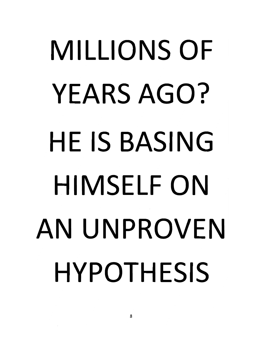## *MILLIONS OF YEARS AGO? HE IS BASING HIMSELF ON AN UNPROVEN HYPOTHESIS*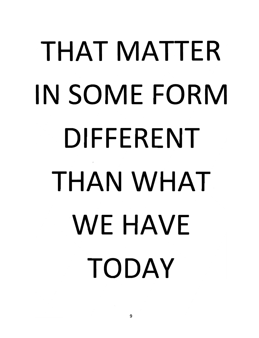#### *THAT MATTER IN SOME FORM DIFFERENT THAN WHAT WE HAVE TODAY*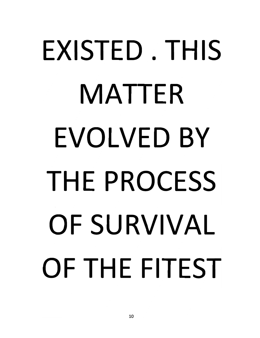#### *EXISTED. THIS MATTER EVOLVED BY THE PROCESS OF SURVIVAL OFTHEFITEST*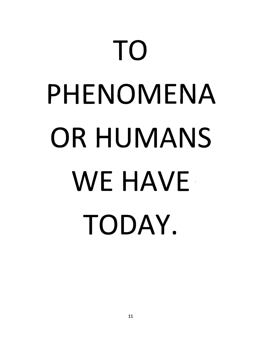#### *TO PHENOMENA OR HUMANS WE HAVE TODAY.*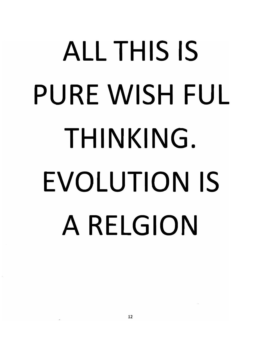#### *ALL THIS IS* **PURE WISH FUL** *THINKING. EVOLUTION IS A RELGION*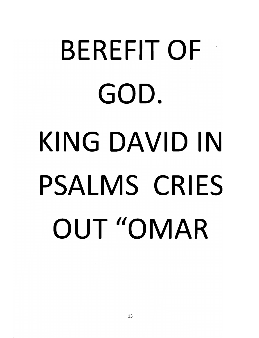#### *BEREFITOF GOD. KING DAVID IN PSALMS CRIES OUT "OMAR*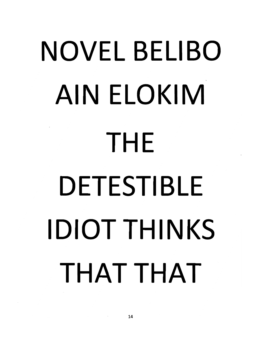## *NOVEL BELI BO AIN ELOKIM THE DETESTIBLE IDIOTTHINKS THAT THAT*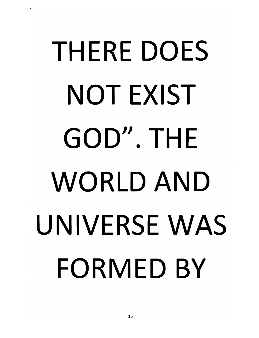#### *THERE DOES NOT EXIST GOD". THE WORLD AND UNIVERSE WAS FORMED BY*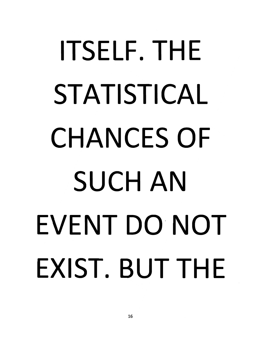#### *ITSELF. THE STATISTICAL CHANCES OF SUCH AN EVENT DO NOT EXIST. BUT THE*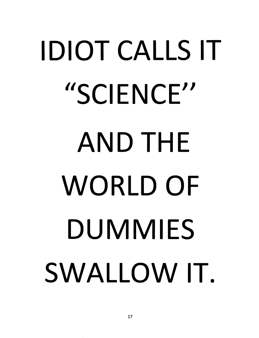## *IDIOT CALLS IT "SCIENCE" AND THE WORLD OF DUMMIES SWALLOW IT*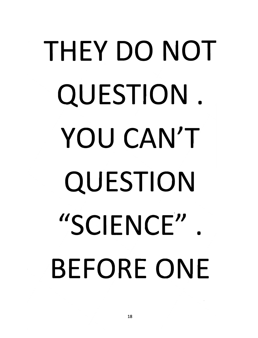#### *THEY DO NOT QUESTION . YOU CAN'T QUESTION "SCIENCE" . BEFORE ONE*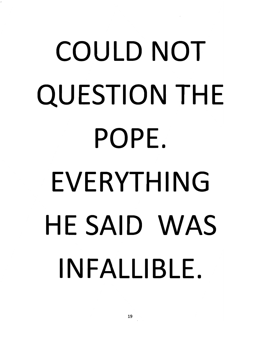#### *COULD NOT QUESTION THE POPE. EVERYTHING HE SAID WAS INFALLIBLE.*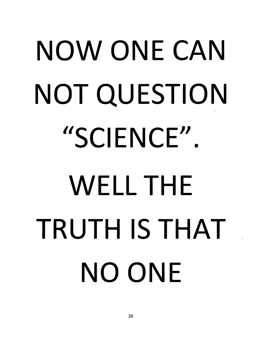## *NOW ONE CAN NOT QUESTION "SCIENCE". WELL THE TRUTH IS THAT NO ONE*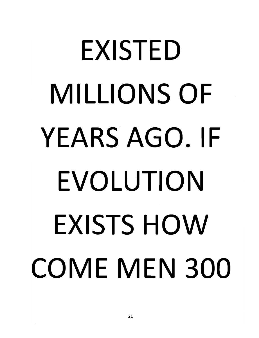#### *EXISTED MILLIONS OF YEARS AGO. IF EVOLUTION EXISTS HOW COME MEN 300*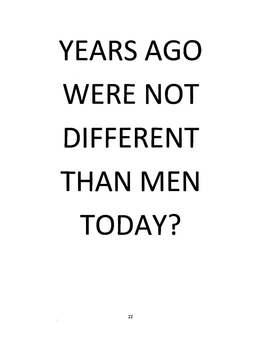#### *YEARS AGO WERE NOT DIFFERENT THAN MEN TODAY?*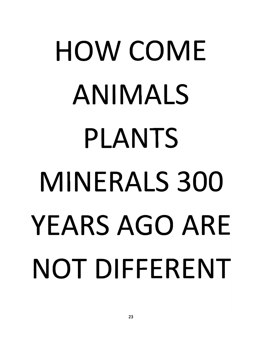#### *HOW COME ANIMALS PLANTS MINERALS 300 YEARS AGO ARE NOT DIFFERENT*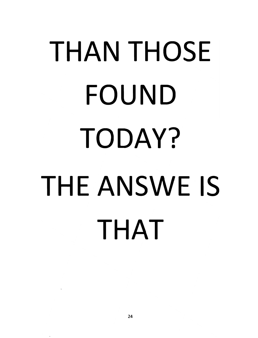#### *THAN THOSE FOUND TODAY? THEANSWE IS THAT*

 $\bar{\mathcal{C}}$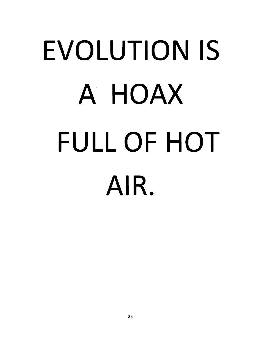## *EVOLUTION IS A HOAX FULL OF HOT AIR.*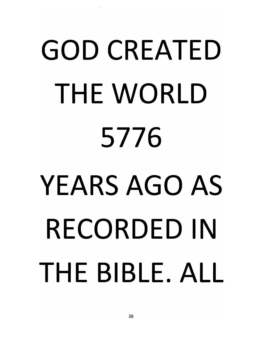## *GOD CREATED THE WORLD 5776 YEARS AGO AS RECORDED IN THE BIBLE. ALL*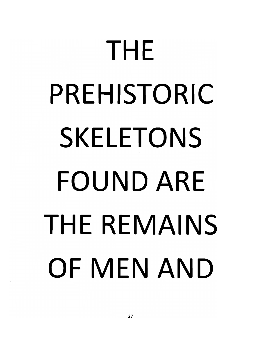#### *THE PREHISTORIC SKELETONS FOUND ARE THE REMAINS OF MEN AND*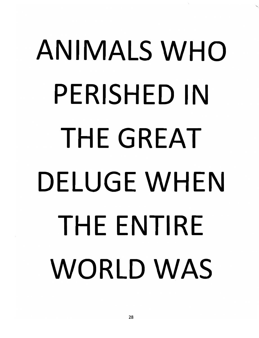#### *ANIMALS WHO PERISHED IN THE GREAT DELUGE WHEN THE ENTIRE WORLD WAS*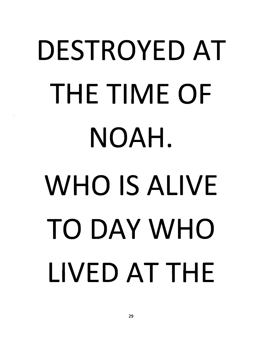## *DESTROYED AT THE TIME OF NOAH. WHO IS ALIVE TO DAY WHO LIVED AT THE*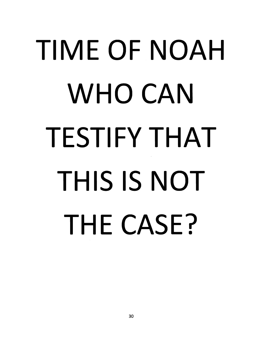#### *TIME OF NOAH WHO CAN TESTIFY THAT THIS IS NOT THE CASE?*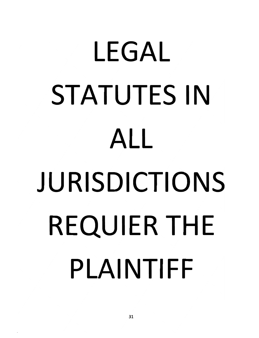#### *LEGAL STATUTES IN ALL JURISDICTIONS REQUIERTHE PLAINTIFF*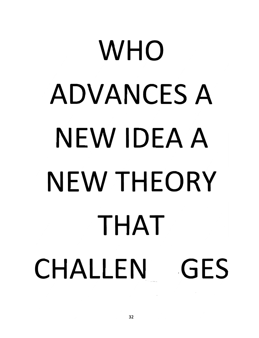## *WHO ADVANCES A NEW IDEA A NEW THEORY THAT CHALLEN GES*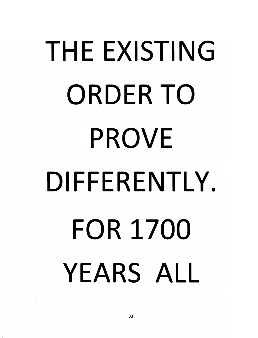## *THE EXISTING ORDER TO PROVE DIFFERENTLY. FOR 1700 YEARS ALL*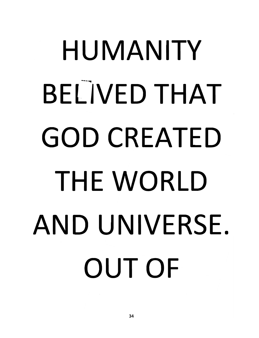#### *HUMANITY BELIVED THAT GOD CREATED THE WORLD AND UNIVERSE OUT OF*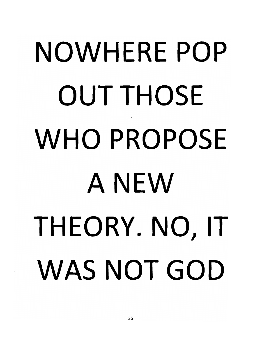#### *NOWHERE POP OUT THOSE WHO PROPOSE ANEW THEORY. NO, IT WAS NOT GOD*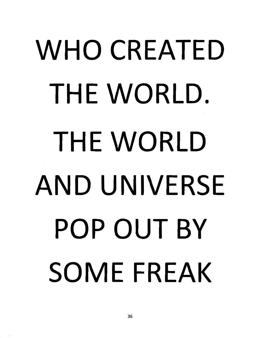## *WHO CREATED THE WORLD. THE WORLD AND UNIVERSE POP OUT BY SOME FREAK*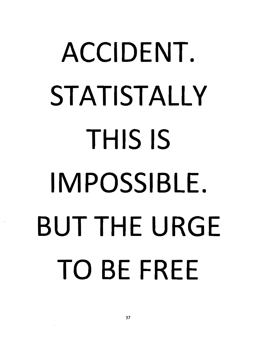## *ACCIDENT. STATISTALLY THIS IS IMPOSSIBLE. BUT THE URGE TO BE FREE*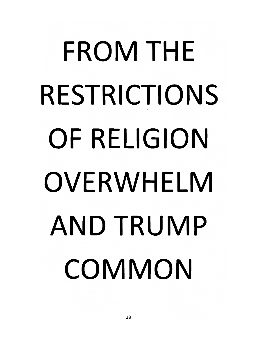## *FROM THE RESTRICTIONS OF RELIGION OVERWHELM AND TRUMP COMMON*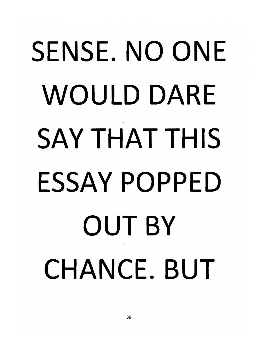## *SENSE. NO ONE WOULD DARE SAY THAT THIS ESSAY POPPED OUT BY CHANCE. BUT*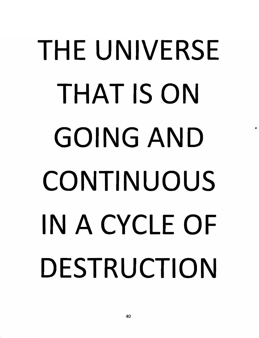### *THE UNIVERSE THAT IS ON GOING AND CONTINUOUS IN A CYCLE OF DESTRUCTION*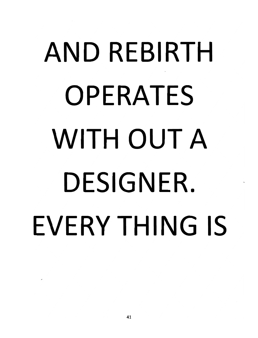### *AND REBIRTH OPERATES WITH OUT A DESIGNER. EVERYTHING IS*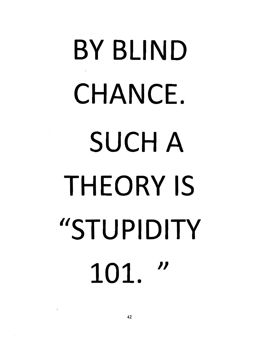# *BY BLIND CHANCE. SUCH A THEORY IS "STUPIDITY* 101. "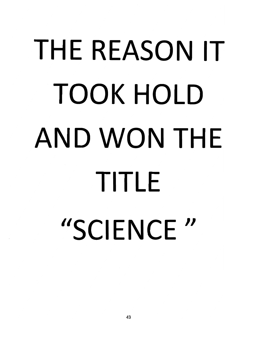## *THE REASON IT TOOK HOLD AND WON THE TITLE "SCIENCE //*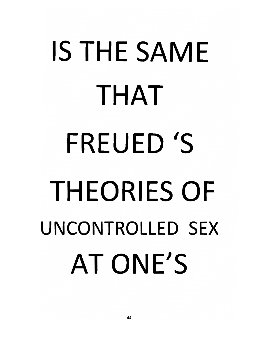#### *IS THE SAME THAT FREUED 'S THEORIES OF UNCONTROLLED SEX AT ONE'S*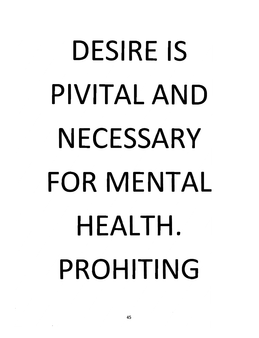## *DESIRE IS PIVITAL AND NECESSARY FOR MENTAL HEALTH. PROHITING*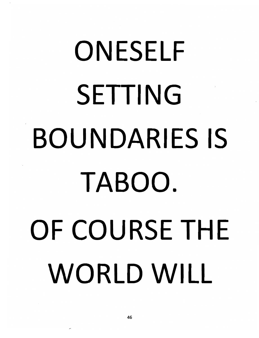# *ONESELF SETTING BOUNDARIES IS TABOO. OF COURSE THE WORLD WILL*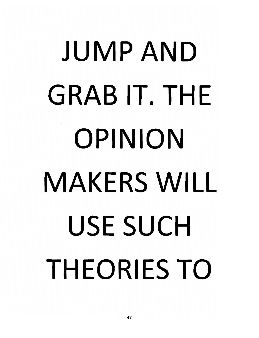## *JUMP AND GRAB IT. THE OPINION MAKERS WILL USE SUCH THEORIES TO*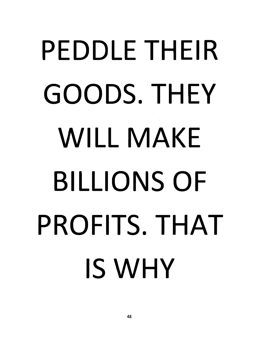## *PEDDLE THEIR GOODS. THEY WILL MAKE BILLIONS OF PROFITS. THAT IS WHY*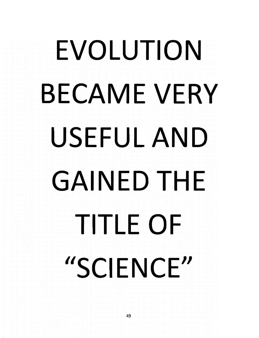### *EVOLUTION BECAME VERY USEFUL AND GAINED THE TITLE OF "SCIENCE"*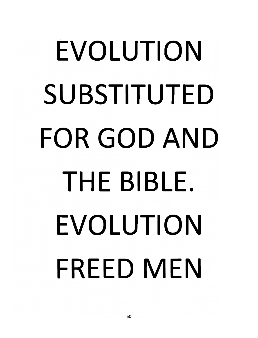### *EVOLUTION SUBSTITUTED FOR GOD AND THE BIBLE. EVOLUTION FREED MEN*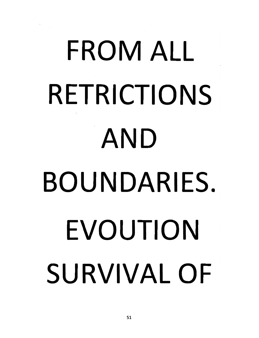# *FROM ALL RETRICTIONS AND BOUNDARIES, EVOUTION SURVIVAL OF*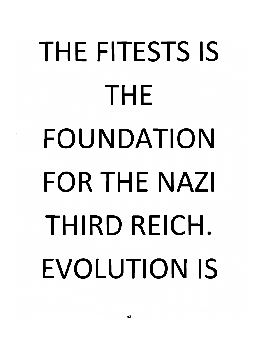## *THE FITESTS IS THE FOUNDATION FOR THE NAZI THIRD REICH. EVOLUTION IS*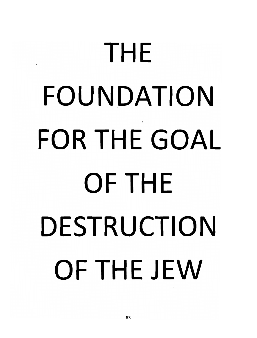## *THE FOUNDATION FOR THE GOAL OF THE DESTRUCTION OF THE JEW*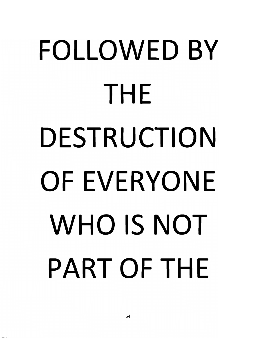## *FOLLOWED BY THE DESTRUCTION OF EVERYONE WHO IS NOT PART OF THE*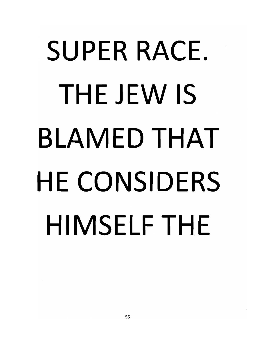## *SUPER RACE. THE JEW IS BLAMED THAT HE CONSIDERS HIMSELF THE*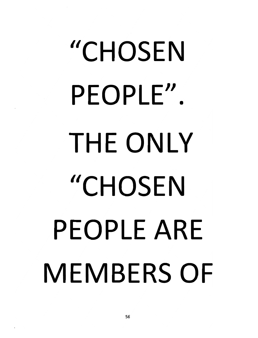# *"CHOSEN PEOPLE". THE ONLY //CHOSEN PEOPLE ARE MEMBERS OF*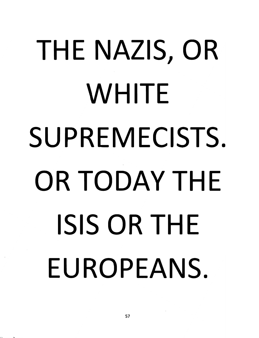## *THE NAZIS, OR WHITE SUPREMECISTS OR TODAY THE ISIS OR THE EUROPEANS.*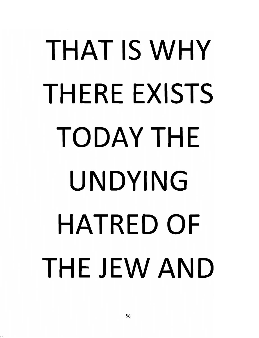## *THAT IS WHY THERE EXISTS TODAY THE UNDYING HATRED OF THE JEW AND*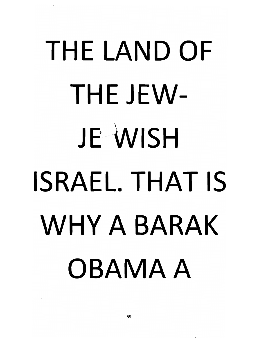## *THE LAND OF THEJEW-JE \NIS H ISRAEL. THAT IS WHY A BARAK OBAMA A*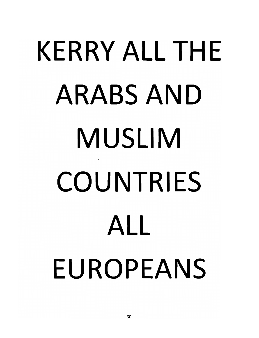## *KERRY ALL THE ARABS AND MUSLIM COUNTRIES ALL EUROPEANS*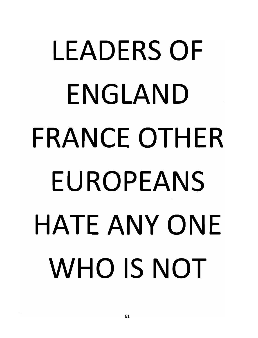## *LEADERS OF ENGLAND FRANCE OTHER EUROPEANS HATE ANY ONE WHO IS NOT*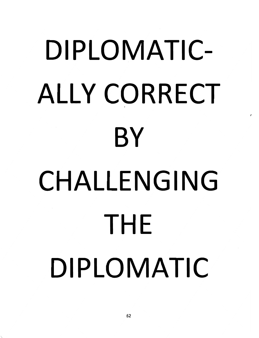## *DIPLOMATIC ALLY CORRECT BY CHALLENGING THE DIPLOMATIC*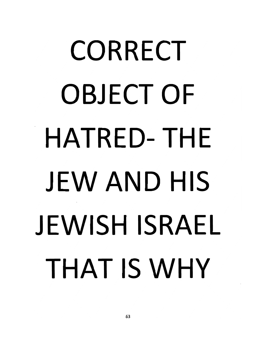## *CORRECT OBJECT OF HATRED-THE JEW AND HIS JEWISH ISRAEL THAT IS WHY*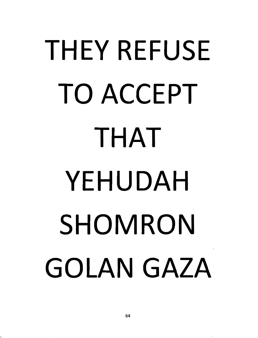### *THEY REFUSE TO ACCEPT THAT YEHUDAH SHOMRON GOLAN GAZA*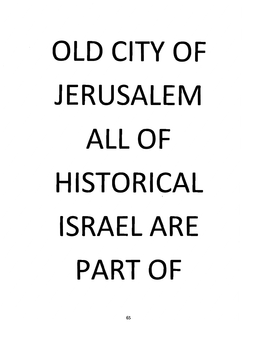## *OLD CITY OF JERUSALEM ALL OF HISTORICAL ISRAEL ARE PART OF*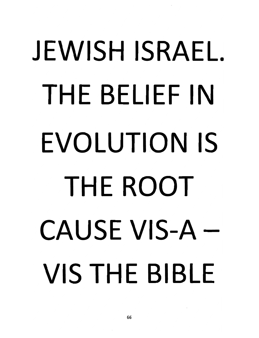# *JEWISH ISRAEL THE BELIEF IN EVOLUTION IS THE ROOT CAUSE VIS-A VIS THE BIBLE*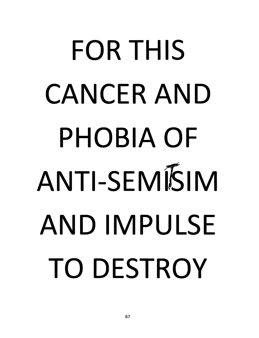## *FOR THIS CANCER AND PHOBIA OF ANTI-SEMI5IM AND IMPULSE TO DESTROY*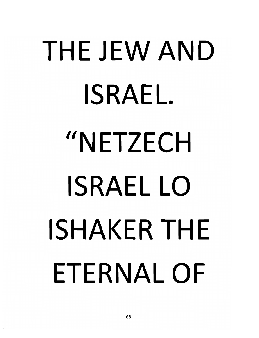# *THE JEW AND ISRAEL. "NETZECH ISRAEL LO ISHAKERTHE ETERNAL OF*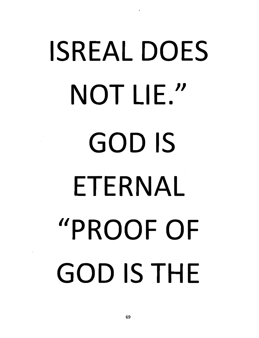# *ISREAL DOES NOT LIE." GOD IS ETERNAL "PROOF OF GOD IS THE*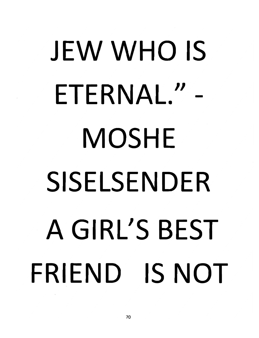# *JEW WHO IS ETERNAL." - MOSHE SISELSENDER A GIRL'S BEST FRIEND IS NOT*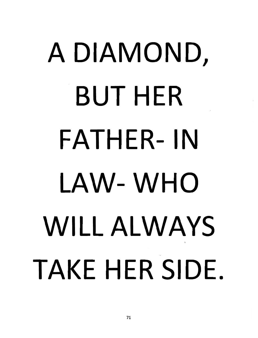## *A DIAMOND, BUT HER FATHER- IN LAW- WHO WILL ALWAYS TAKE HER SIDE*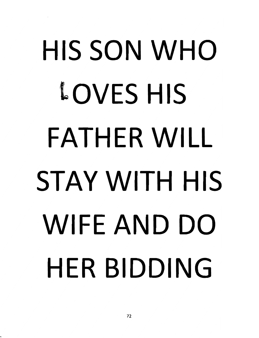## *HIS SON WHO OVES HIS FATHER WILL STAY WITH HIS WIFE AND DO HER BIDDING*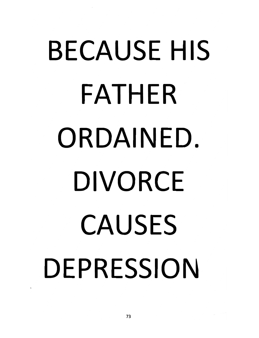### *BECAUSE HIS FATHER ORDAINED. DIVORCE CAUSES DEPRESSION*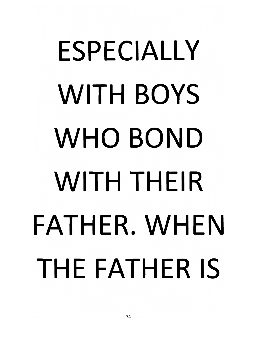## *ESPECIALLY WITH BOYS WHO BOND WITH THEIR FATHER. WHEN THE FATHER IS*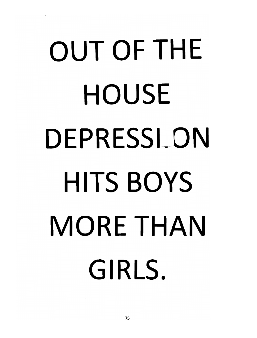## *OUT OF THE HOUSE DEPRESSION HITS BOYS MORE THAN GIRLS.*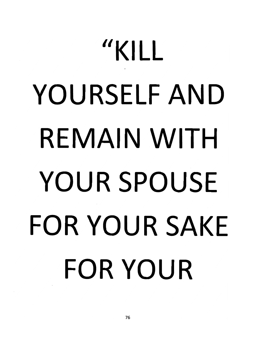## *"KILL YOURSELF AND REMAIN WITH YOUR SPOUSE FOR YOUR SAKE FOR YOUR*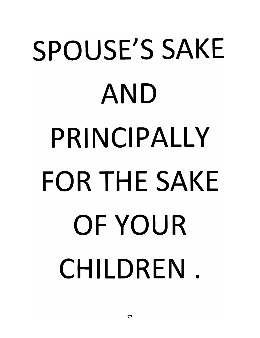## *SPOUSE'S SAKE AND PRINCIPALLY FOR THE SAKE OF YOUR CHILDREN .*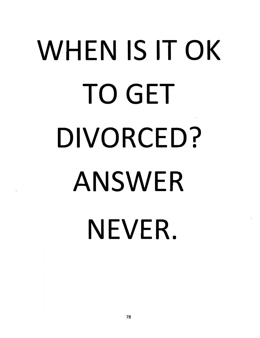### *WHEN IS IT OK TO GET DIVORCED? ANSWER NEVER.*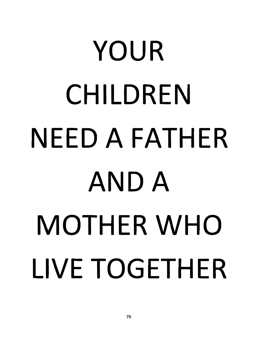# *YOUR CHILDREN NEED A FATHER AND A MOTHER WHO LIVE TOGETHER*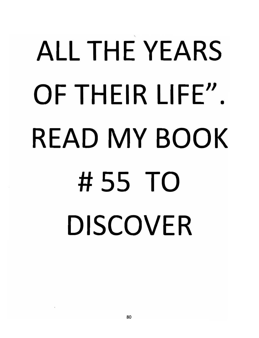#### *ALL THE YEARS OF THEIR LIFE". READ MY BOOK #55 TO DISCOVER*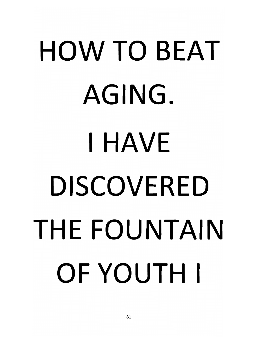# *HOW TO BEAT AGING. HAVE DISCOVERED THE FOUNTAIN OF YOUTH*